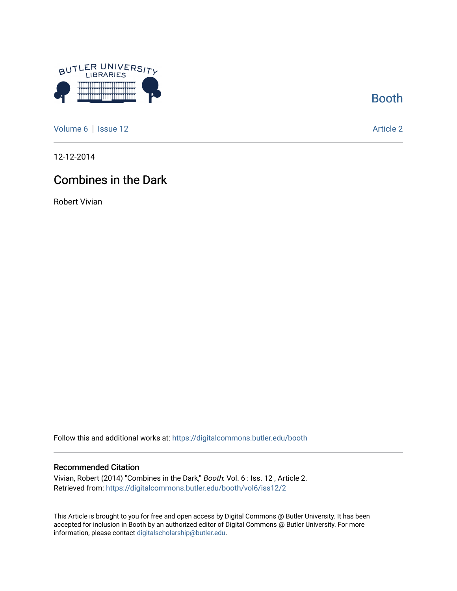

[Booth](https://digitalcommons.butler.edu/booth) 

[Volume 6](https://digitalcommons.butler.edu/booth/vol6) | [Issue 12](https://digitalcommons.butler.edu/booth/vol6/iss12) Article 2

12-12-2014

## Combines in the Dark

Robert Vivian

Follow this and additional works at: [https://digitalcommons.butler.edu/booth](https://digitalcommons.butler.edu/booth?utm_source=digitalcommons.butler.edu%2Fbooth%2Fvol6%2Fiss12%2F2&utm_medium=PDF&utm_campaign=PDFCoverPages) 

#### Recommended Citation

Vivian, Robert (2014) "Combines in the Dark," Booth: Vol. 6 : Iss. 12 , Article 2. Retrieved from: [https://digitalcommons.butler.edu/booth/vol6/iss12/2](https://digitalcommons.butler.edu/booth/vol6/iss12/2?utm_source=digitalcommons.butler.edu%2Fbooth%2Fvol6%2Fiss12%2F2&utm_medium=PDF&utm_campaign=PDFCoverPages) 

This Article is brought to you for free and open access by Digital Commons @ Butler University. It has been accepted for inclusion in Booth by an authorized editor of Digital Commons @ Butler University. For more information, please contact [digitalscholarship@butler.edu](mailto:digitalscholarship@butler.edu).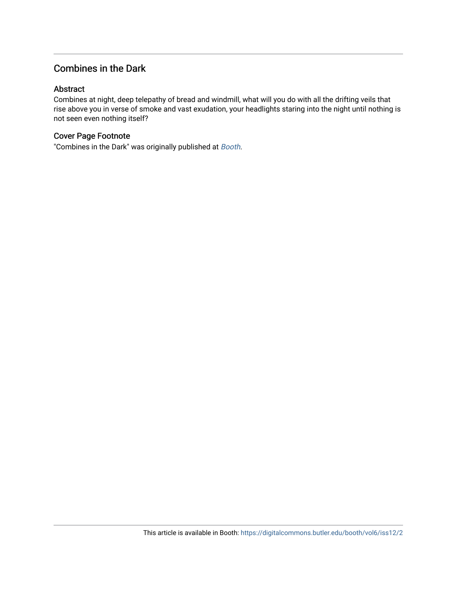### Combines in the Dark

#### Abstract

Combines at night, deep telepathy of bread and windmill, what will you do with all the drifting veils that rise above you in verse of smoke and vast exudation, your headlights staring into the night until nothing is not seen even nothing itself?

#### Cover Page Footnote

"Combines in the Dark" was originally published at [Booth](http://booth.butler.edu/2014/12/12/combines-in-the-dark/).